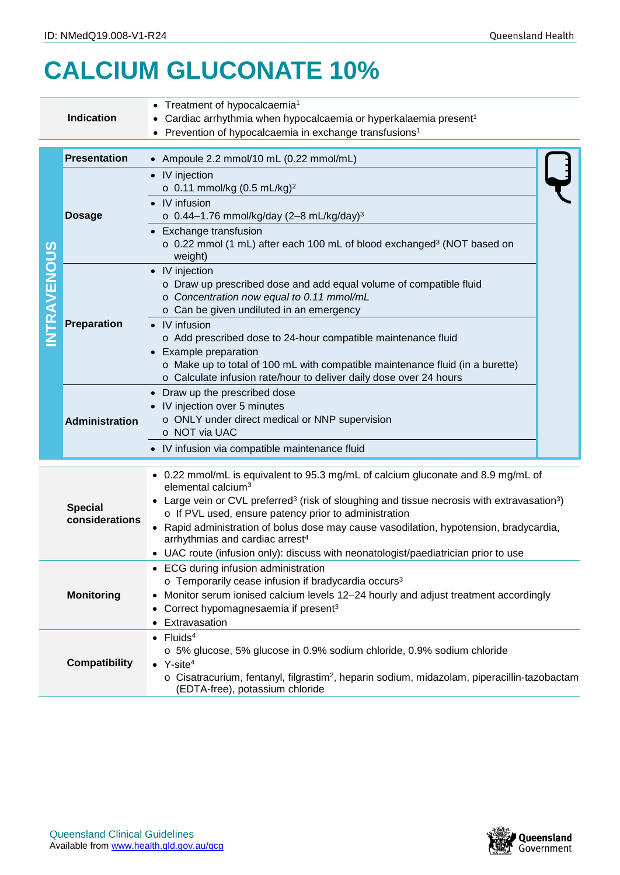## **CALCIUM GLUCONATE 10%**

| <b>Indication</b>                |                       | • Treatment of hypocalcaemia <sup>1</sup><br>• Cardiac arrhythmia when hypocalcaemia or hyperkalaemia present <sup>1</sup><br>Prevention of hypocalcaemia in exchange transfusions <sup>1</sup>                                                                                                                                                                                                                                                                                                                                 |  |  |  |  |
|----------------------------------|-----------------------|---------------------------------------------------------------------------------------------------------------------------------------------------------------------------------------------------------------------------------------------------------------------------------------------------------------------------------------------------------------------------------------------------------------------------------------------------------------------------------------------------------------------------------|--|--|--|--|
|                                  | <b>Presentation</b>   | • Ampoule 2.2 mmol/10 mL (0.22 mmol/mL)                                                                                                                                                                                                                                                                                                                                                                                                                                                                                         |  |  |  |  |
| <b>NTRAVENOUS</b>                | <b>Dosage</b>         | IV injection<br>$\circ$ 0.11 mmol/kg (0.5 mL/kg) <sup>2</sup><br>IV infusion<br>$\circ$ 0.44-1.76 mmol/kg/day (2-8 mL/kg/day) <sup>3</sup><br>Exchange transfusion<br>o 0.22 mmol (1 mL) after each 100 mL of blood exchanged <sup>3</sup> (NOT based on<br>weight)                                                                                                                                                                                                                                                             |  |  |  |  |
|                                  | <b>Preparation</b>    | • IV injection<br>o Draw up prescribed dose and add equal volume of compatible fluid<br>o Concentration now equal to 0.11 mmol/mL<br>o Can be given undiluted in an emergency<br>IV infusion<br>o Add prescribed dose to 24-hour compatible maintenance fluid<br><b>Example preparation</b><br>$\bullet$<br>o Make up to total of 100 mL with compatible maintenance fluid (in a burette)<br>o Calculate infusion rate/hour to deliver daily dose over 24 hours                                                                 |  |  |  |  |
|                                  | <b>Administration</b> | Draw up the prescribed dose<br>$\bullet$<br>IV injection over 5 minutes<br>o ONLY under direct medical or NNP supervision<br>o NOT via UAC<br>• IV infusion via compatible maintenance fluid                                                                                                                                                                                                                                                                                                                                    |  |  |  |  |
| <b>Special</b><br>considerations |                       | • 0.22 mmol/mL is equivalent to 95.3 mg/mL of calcium gluconate and 8.9 mg/mL of<br>elemental calcium <sup>3</sup><br>Large vein or CVL preferred <sup>3</sup> (risk of sloughing and tissue necrosis with extravasation <sup>3</sup> )<br>o If PVL used, ensure patency prior to administration<br>• Rapid administration of bolus dose may cause vasodilation, hypotension, bradycardia,<br>arrhythmias and cardiac arrest <sup>4</sup><br>• UAC route (infusion only): discuss with neonatologist/paediatrician prior to use |  |  |  |  |
| <b>Monitoring</b>                |                       | • ECG during infusion administration<br>o Temporarily cease infusion if bradycardia occurs <sup>3</sup><br>Monitor serum ionised calcium levels 12-24 hourly and adjust treatment accordingly<br>Correct hypomagnesaemia if present <sup>3</sup><br>Extravasation                                                                                                                                                                                                                                                               |  |  |  |  |
| <b>Compatibility</b>             |                       | $\bullet$ Fluids <sup>4</sup><br>o 5% glucose, 5% glucose in 0.9% sodium chloride, 0.9% sodium chloride<br>• $Y\text{-site}^4$<br>$\circ$ Cisatracurium, fentanyl, filgrastim <sup>2</sup> , heparin sodium, midazolam, piperacillin-tazobactam<br>(EDTA-free), potassium chloride                                                                                                                                                                                                                                              |  |  |  |  |